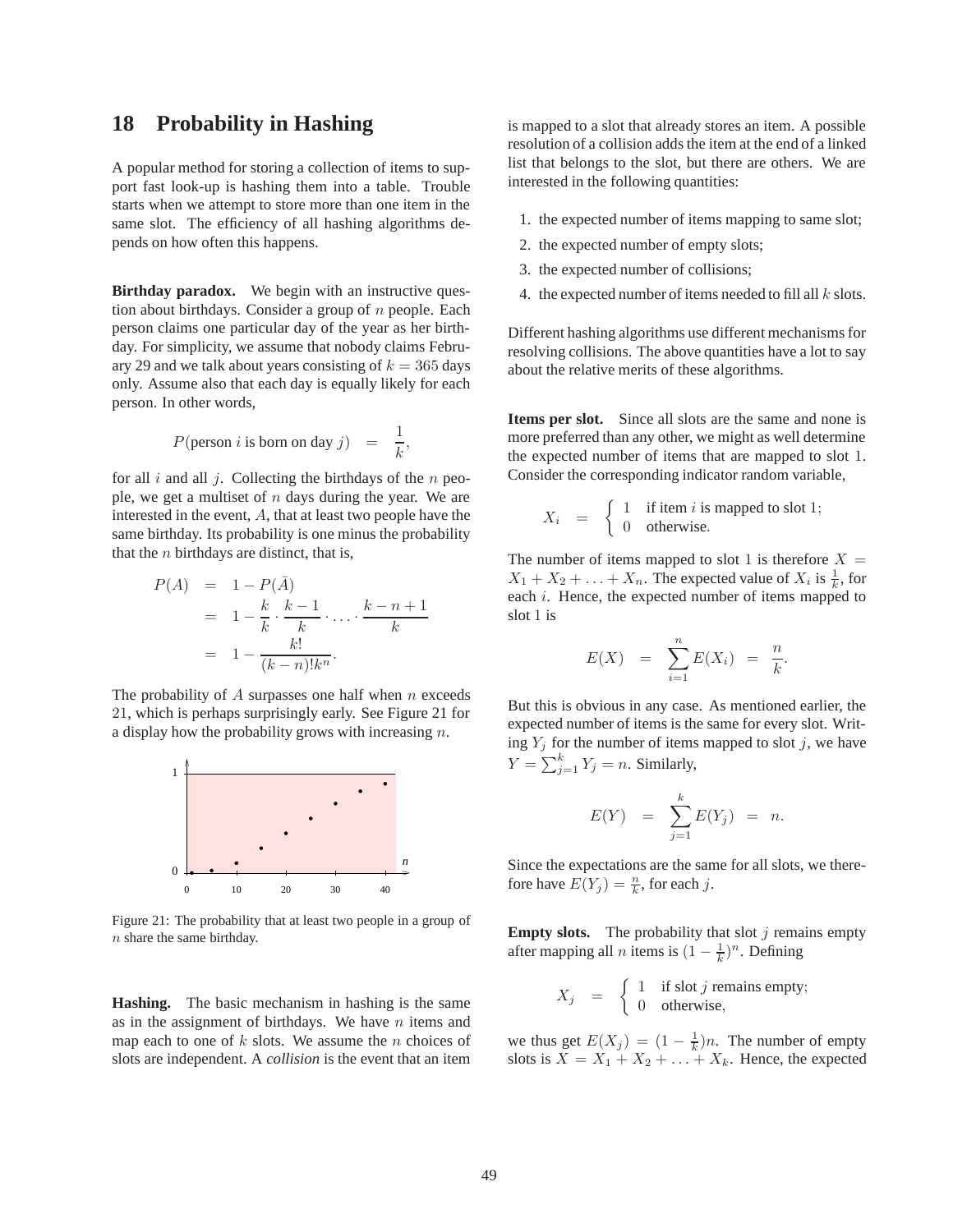## **18 Probability in Hashing**

A popular method for storing a collection of items to support fast look-up is hashing them into a table. Trouble starts when we attempt to store more than one item in the same slot. The efficiency of all hashing algorithms depends on how often this happens.

**Birthday paradox.** We begin with an instructive question about birthdays. Consider a group of  $n$  people. Each person claims one particular day of the year as her birthday. For simplicity, we assume that nobody claims February 29 and we talk about years consisting of  $k = 365$  days only. Assume also that each day is equally likely for each person. In other words,

$$
P(\text{person } i \text{ is born on day } j) = \frac{1}{k},
$$

for all  $i$  and all  $j$ . Collecting the birthdays of the  $n$  people, we get a multiset of  $n$  days during the year. We are interested in the event, A, that at least two people have the same birthday. Its probability is one minus the probability that the  $n$  birthdays are distinct, that is,

$$
P(A) = 1 - P(\overline{A})
$$
  
= 
$$
1 - \frac{k}{k} \cdot \frac{k-1}{k} \cdot \dots \cdot \frac{k-n+1}{k}
$$
  
= 
$$
1 - \frac{k!}{(k-n)!k^n}.
$$

The probability of  $A$  surpasses one half when  $n$  exceeds 21, which is perhaps surprisingly early. See Figure 21 for a display how the probability grows with increasing n.



Figure 21: The probability that at least two people in a group of  $n$  share the same birthday.

**Hashing.** The basic mechanism in hashing is the same as in the assignment of birthdays. We have  $n$  items and map each to one of  $k$  slots. We assume the  $n$  choices of slots are independent. A *collision* is the event that an item

is mapped to a slot that already stores an item. A possible resolution of a collision adds the item at the end of a linked list that belongs to the slot, but there are others. We are interested in the following quantities:

- 1. the expected number of items mapping to same slot;
- 2. the expected number of empty slots;
- 3. the expected number of collisions;
- 4. the expected number of items needed to fill all  $k$  slots.

Different hashing algorithms use different mechanisms for resolving collisions. The above quantities have a lot to say about the relative merits of these algorithms.

**Items per slot.** Since all slots are the same and none is more preferred than any other, we might as well determine the expected number of items that are mapped to slot 1. Consider the corresponding indicator random variable,

$$
X_i = \begin{cases} 1 & \text{if item } i \text{ is mapped to slot 1;} \\ 0 & \text{otherwise.} \end{cases}
$$

The number of items mapped to slot 1 is therefore  $X =$  $X_1 + X_2 + \ldots + X_n$ . The expected value of  $X_i$  is  $\frac{1}{k}$ , for each *i*. Hence, the expected number of items mapped to slot 1 is

$$
E(X) = \sum_{i=1}^{n} E(X_i) = \frac{n}{k}.
$$

But this is obvious in any case. As mentioned earlier, the expected number of items is the same for every slot. Writing  $Y_j$  for the number of items mapped to slot  $j$ , we have  $Y = \sum_{j=1}^{k} Y_j = n$ . Similarly,

$$
E(Y) = \sum_{j=1}^{k} E(Y_j) = n.
$$

Since the expectations are the same for all slots, we therefore have  $E(Y_j) = \frac{n}{k}$ , for each j.

**Empty slots.** The probability that slot  $j$  remains empty after mapping all *n* items is  $(1 - \frac{1}{k})^n$ . Defining

$$
X_j = \begin{cases} 1 & \text{if slot } j \text{ remains empty;} \\ 0 & \text{otherwise,} \end{cases}
$$

we thus get  $E(X_j) = (1 - \frac{1}{k})n$ . The number of empty slots is  $X = X_1 + X_2 + \ldots + X_k$ . Hence, the expected